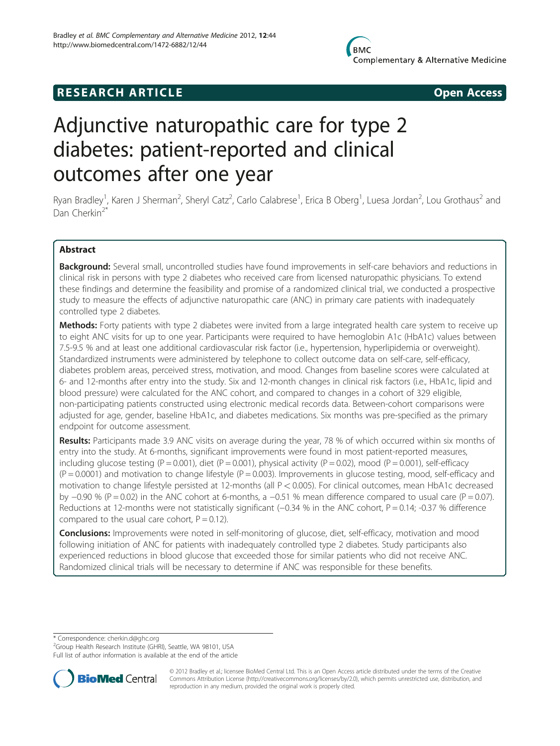# **RESEARCH ARTICLE Example 2014 The SEARCH ARTICLE**

# Adjunctive naturopathic care for type 2 diabetes: patient-reported and clinical outcomes after one year

Ryan Bradley<sup>1</sup>, Karen J Sherman<sup>2</sup>, Sheryl Catz<sup>2</sup>, Carlo Calabrese<sup>1</sup>, Erica B Oberg<sup>1</sup>, Luesa Jordan<sup>2</sup>, Lou Grothaus<sup>2</sup> and Dan Cherkin<sup>2</sup>

# Abstract

Background: Several small, uncontrolled studies have found improvements in self-care behaviors and reductions in clinical risk in persons with type 2 diabetes who received care from licensed naturopathic physicians. To extend these findings and determine the feasibility and promise of a randomized clinical trial, we conducted a prospective study to measure the effects of adjunctive naturopathic care (ANC) in primary care patients with inadequately controlled type 2 diabetes.

Methods: Forty patients with type 2 diabetes were invited from a large integrated health care system to receive up to eight ANC visits for up to one year. Participants were required to have hemoglobin A1c (HbA1c) values between 7.5-9.5 % and at least one additional cardiovascular risk factor (i.e., hypertension, hyperlipidemia or overweight). Standardized instruments were administered by telephone to collect outcome data on self-care, self-efficacy, diabetes problem areas, perceived stress, motivation, and mood. Changes from baseline scores were calculated at 6- and 12-months after entry into the study. Six and 12-month changes in clinical risk factors (i.e., HbA1c, lipid and blood pressure) were calculated for the ANC cohort, and compared to changes in a cohort of 329 eligible, non-participating patients constructed using electronic medical records data. Between-cohort comparisons were adjusted for age, gender, baseline HbA1c, and diabetes medications. Six months was pre-specified as the primary endpoint for outcome assessment.

Results: Participants made 3.9 ANC visits on average during the year, 78 % of which occurred within six months of entry into the study. At 6-months, significant improvements were found in most patient-reported measures, including glucose testing (P = 0.001), diet (P = 0.001), physical activity (P = 0.02), mood (P = 0.001), self-efficacy  $(P = 0.0001)$  and motivation to change lifestyle  $(P = 0.003)$ . Improvements in glucose testing, mood, self-efficacy and motivation to change lifestyle persisted at 12-months (all P < 0.005). For clinical outcomes, mean HbA1c decreased by −0.90 % (P = 0.02) in the ANC cohort at 6-months, a −0.51 % mean difference compared to usual care (P = 0.07). Reductions at 12-months were not statistically significant (−0.34 % in the ANC cohort, P = 0.14; -0.37 % difference compared to the usual care cohort,  $P = 0.12$ ).

**Conclusions:** Improvements were noted in self-monitoring of glucose, diet, self-efficacy, motivation and mood following initiation of ANC for patients with inadequately controlled type 2 diabetes. Study participants also experienced reductions in blood glucose that exceeded those for similar patients who did not receive ANC. Randomized clinical trials will be necessary to determine if ANC was responsible for these benefits.

\* Correspondence: [cherkin.d@ghc.org](mailto:cherkin.d@ghc.org) <sup>2</sup>

<sup>2</sup>Group Health Research Institute (GHRI), Seattle, WA 98101, USA Full list of author information is available at the end of the article



© 2012 Bradley et al.; licensee BioMed Central Ltd. This is an Open Access article distributed under the terms of the Creative Commons Attribution License (http://creativecommons.org/licenses/by/2.0), which permits unrestricted use, distribution, and reproduction in any medium, provided the original work is properly cited.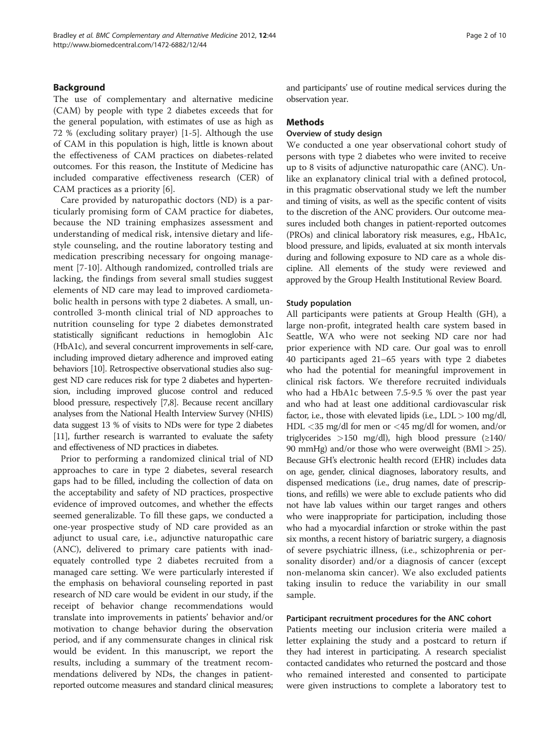The use of complementary and alternative medicine (CAM) by people with type 2 diabetes exceeds that for the general population, with estimates of use as high as 72 % (excluding solitary prayer) [\[1-5](#page-8-0)]. Although the use of CAM in this population is high, little is known about the effectiveness of CAM practices on diabetes-related outcomes. For this reason, the Institute of Medicine has included comparative effectiveness research (CER) of CAM practices as a priority [\[6\]](#page-8-0).

Care provided by naturopathic doctors (ND) is a particularly promising form of CAM practice for diabetes, because the ND training emphasizes assessment and understanding of medical risk, intensive dietary and lifestyle counseling, and the routine laboratory testing and medication prescribing necessary for ongoing management [[7-10](#page-8-0)]. Although randomized, controlled trials are lacking, the findings from several small studies suggest elements of ND care may lead to improved cardiometabolic health in persons with type 2 diabetes. A small, uncontrolled 3-month clinical trial of ND approaches to nutrition counseling for type 2 diabetes demonstrated statistically significant reductions in hemoglobin A1c (HbA1c), and several concurrent improvements in self-care, including improved dietary adherence and improved eating behaviors [\[10\]](#page-8-0). Retrospective observational studies also suggest ND care reduces risk for type 2 diabetes and hypertension, including improved glucose control and reduced blood pressure, respectively [[7,8](#page-8-0)]. Because recent ancillary analyses from the National Health Interview Survey (NHIS) data suggest 13 % of visits to NDs were for type 2 diabetes [[11](#page-8-0)], further research is warranted to evaluate the safety and effectiveness of ND practices in diabetes.

Prior to performing a randomized clinical trial of ND approaches to care in type 2 diabetes, several research gaps had to be filled, including the collection of data on the acceptability and safety of ND practices, prospective evidence of improved outcomes, and whether the effects seemed generalizable. To fill these gaps, we conducted a one-year prospective study of ND care provided as an adjunct to usual care, i.e., adjunctive naturopathic care (ANC), delivered to primary care patients with inadequately controlled type 2 diabetes recruited from a managed care setting. We were particularly interested if the emphasis on behavioral counseling reported in past research of ND care would be evident in our study, if the receipt of behavior change recommendations would translate into improvements in patients' behavior and/or motivation to change behavior during the observation period, and if any commensurate changes in clinical risk would be evident. In this manuscript, we report the results, including a summary of the treatment recommendations delivered by NDs, the changes in patientreported outcome measures and standard clinical measures;

and participants' use of routine medical services during the observation year.

### Methods

#### Overview of study design

We conducted a one year observational cohort study of persons with type 2 diabetes who were invited to receive up to 8 visits of adjunctive naturopathic care (ANC). Unlike an explanatory clinical trial with a defined protocol, in this pragmatic observational study we left the number and timing of visits, as well as the specific content of visits to the discretion of the ANC providers. Our outcome measures included both changes in patient-reported outcomes (PROs) and clinical laboratory risk measures, e.g., HbA1c, blood pressure, and lipids, evaluated at six month intervals during and following exposure to ND care as a whole discipline. All elements of the study were reviewed and approved by the Group Health Institutional Review Board.

#### Study population

All participants were patients at Group Health (GH), a large non-profit, integrated health care system based in Seattle, WA who were not seeking ND care nor had prior experience with ND care. Our goal was to enroll 40 participants aged 21–65 years with type 2 diabetes who had the potential for meaningful improvement in clinical risk factors. We therefore recruited individuals who had a HbA1c between 7.5-9.5 % over the past year and who had at least one additional cardiovascular risk factor, i.e., those with elevated lipids (i.e.,  $LDL > 100$  mg/dl, HDL <35 mg/dl for men or <45 mg/dl for women, and/or triglycerides >150 mg/dl), high blood pressure (≥140/ 90 mmHg) and/or those who were overweight  $(BMI > 25)$ . Because GH's electronic health record (EHR) includes data on age, gender, clinical diagnoses, laboratory results, and dispensed medications (i.e., drug names, date of prescriptions, and refills) we were able to exclude patients who did not have lab values within our target ranges and others who were inappropriate for participation, including those who had a myocardial infarction or stroke within the past six months, a recent history of bariatric surgery, a diagnosis of severe psychiatric illness, (i.e., schizophrenia or personality disorder) and/or a diagnosis of cancer (except non-melanoma skin cancer). We also excluded patients taking insulin to reduce the variability in our small sample.

#### Participant recruitment procedures for the ANC cohort

Patients meeting our inclusion criteria were mailed a letter explaining the study and a postcard to return if they had interest in participating. A research specialist contacted candidates who returned the postcard and those who remained interested and consented to participate were given instructions to complete a laboratory test to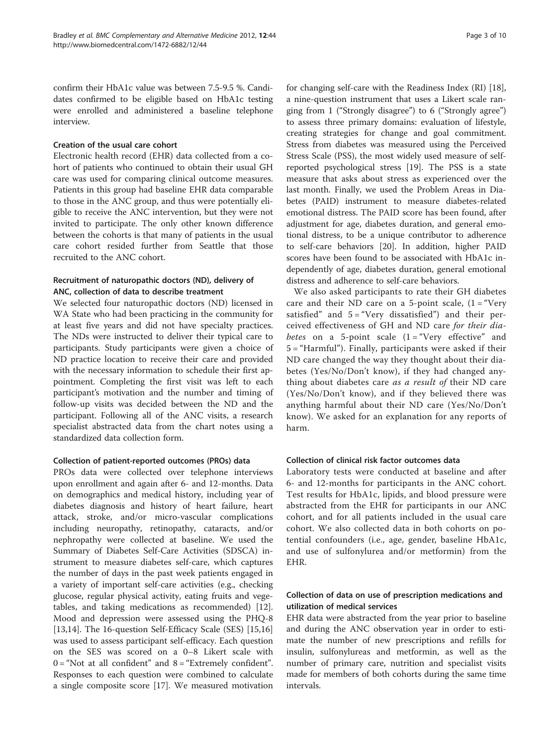confirm their HbA1c value was between 7.5-9.5 %. Candidates confirmed to be eligible based on HbA1c testing were enrolled and administered a baseline telephone interview.

#### Creation of the usual care cohort

Electronic health record (EHR) data collected from a cohort of patients who continued to obtain their usual GH care was used for comparing clinical outcome measures. Patients in this group had baseline EHR data comparable to those in the ANC group, and thus were potentially eligible to receive the ANC intervention, but they were not invited to participate. The only other known difference between the cohorts is that many of patients in the usual care cohort resided further from Seattle that those recruited to the ANC cohort.

# Recruitment of naturopathic doctors (ND), delivery of ANC, collection of data to describe treatment

We selected four naturopathic doctors (ND) licensed in WA State who had been practicing in the community for at least five years and did not have specialty practices. The NDs were instructed to deliver their typical care to participants. Study participants were given a choice of ND practice location to receive their care and provided with the necessary information to schedule their first appointment. Completing the first visit was left to each participant's motivation and the number and timing of follow-up visits was decided between the ND and the participant. Following all of the ANC visits, a research specialist abstracted data from the chart notes using a standardized data collection form.

## Collection of patient-reported outcomes (PROs) data

PROs data were collected over telephone interviews upon enrollment and again after 6- and 12-months. Data on demographics and medical history, including year of diabetes diagnosis and history of heart failure, heart attack, stroke, and/or micro-vascular complications including neuropathy, retinopathy, cataracts, and/or nephropathy were collected at baseline. We used the Summary of Diabetes Self-Care Activities (SDSCA) instrument to measure diabetes self-care, which captures the number of days in the past week patients engaged in a variety of important self-care activities (e.g., checking glucose, regular physical activity, eating fruits and vegetables, and taking medications as recommended) [\[12](#page-8-0)]. Mood and depression were assessed using the PHQ-8 [[13,14\]](#page-8-0). The 16-question Self-Efficacy Scale (SES) [[15](#page-8-0),[16](#page-8-0)] was used to assess participant self-efficacy. Each question on the SES was scored on a 0–8 Likert scale with  $0 =$  "Not at all confident" and  $8 =$  "Extremely confident". Responses to each question were combined to calculate a single composite score [\[17](#page-8-0)]. We measured motivation for changing self-care with the Readiness Index (RI) [[18](#page-8-0)], a nine-question instrument that uses a Likert scale ranging from 1 ("Strongly disagree") to 6 ("Strongly agree") to assess three primary domains: evaluation of lifestyle, creating strategies for change and goal commitment. Stress from diabetes was measured using the Perceived Stress Scale (PSS), the most widely used measure of selfreported psychological stress [\[19](#page-8-0)]. The PSS is a state measure that asks about stress as experienced over the last month. Finally, we used the Problem Areas in Diabetes (PAID) instrument to measure diabetes-related emotional distress. The PAID score has been found, after adjustment for age, diabetes duration, and general emotional distress, to be a unique contributor to adherence to self-care behaviors [[20\]](#page-8-0). In addition, higher PAID scores have been found to be associated with HbA1c independently of age, diabetes duration, general emotional distress and adherence to self-care behaviors.

We also asked participants to rate their GH diabetes care and their ND care on a 5-point scale,  $(1 = "Very$ satisfied" and  $5 =$  "Very dissatisfied") and their perceived effectiveness of GH and ND care for their diabetes on a 5-point scale  $(1 = "Very effective" and$ 5 = "Harmful"). Finally, participants were asked if their ND care changed the way they thought about their diabetes (Yes/No/Don't know), if they had changed anything about diabetes care *as a result of* their ND care (Yes/No/Don't know), and if they believed there was anything harmful about their ND care (Yes/No/Don't know). We asked for an explanation for any reports of harm.

## Collection of clinical risk factor outcomes data

Laboratory tests were conducted at baseline and after 6- and 12-months for participants in the ANC cohort. Test results for HbA1c, lipids, and blood pressure were abstracted from the EHR for participants in our ANC cohort, and for all patients included in the usual care cohort. We also collected data in both cohorts on potential confounders (i.e., age, gender, baseline HbA1c, and use of sulfonylurea and/or metformin) from the EHR.

# Collection of data on use of prescription medications and utilization of medical services

EHR data were abstracted from the year prior to baseline and during the ANC observation year in order to estimate the number of new prescriptions and refills for insulin, sulfonylureas and metformin, as well as the number of primary care, nutrition and specialist visits made for members of both cohorts during the same time intervals.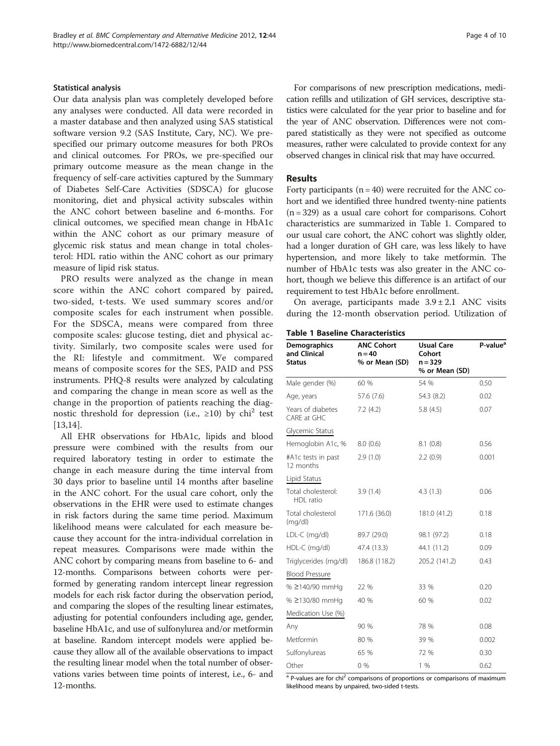#### Statistical analysis

Our data analysis plan was completely developed before any analyses were conducted. All data were recorded in a master database and then analyzed using SAS statistical software version 9.2 (SAS Institute, Cary, NC). We prespecified our primary outcome measures for both PROs and clinical outcomes. For PROs, we pre-specified our primary outcome measure as the mean change in the frequency of self-care activities captured by the Summary of Diabetes Self-Care Activities (SDSCA) for glucose monitoring, diet and physical activity subscales within the ANC cohort between baseline and 6-months. For clinical outcomes, we specified mean change in HbA1c within the ANC cohort as our primary measure of glycemic risk status and mean change in total cholesterol: HDL ratio within the ANC cohort as our primary measure of lipid risk status.

PRO results were analyzed as the change in mean score within the ANC cohort compared by paired, two-sided, t-tests. We used summary scores and/or composite scales for each instrument when possible. For the SDSCA, means were compared from three composite scales: glucose testing, diet and physical activity. Similarly, two composite scales were used for the RI: lifestyle and commitment. We compared means of composite scores for the SES, PAID and PSS instruments. PHQ-8 results were analyzed by calculating and comparing the change in mean score as well as the change in the proportion of patients reaching the diagnostic threshold for depression (i.e.,  $\geq 10$ ) by chi<sup>2</sup> test [[13,14](#page-8-0)].

All EHR observations for HbA1c, lipids and blood pressure were combined with the results from our required laboratory testing in order to estimate the change in each measure during the time interval from 30 days prior to baseline until 14 months after baseline in the ANC cohort. For the usual care cohort, only the observations in the EHR were used to estimate changes in risk factors during the same time period. Maximum likelihood means were calculated for each measure because they account for the intra-individual correlation in repeat measures. Comparisons were made within the ANC cohort by comparing means from baseline to 6- and 12-months. Comparisons between cohorts were performed by generating random intercept linear regression models for each risk factor during the observation period, and comparing the slopes of the resulting linear estimates, adjusting for potential confounders including age, gender, baseline HbA1c, and use of sulfonylurea and/or metformin at baseline. Random intercept models were applied because they allow all of the available observations to impact the resulting linear model when the total number of observations varies between time points of interest, i.e., 6- and 12-months.

For comparisons of new prescription medications, medication refills and utilization of GH services, descriptive statistics were calculated for the year prior to baseline and for the year of ANC observation. Differences were not compared statistically as they were not specified as outcome measures, rather were calculated to provide context for any observed changes in clinical risk that may have occurred.

#### Results

Forty participants  $(n = 40)$  were recruited for the ANC cohort and we identified three hundred twenty-nine patients  $(n = 329)$  as a usual care cohort for comparisons. Cohort characteristics are summarized in Table 1. Compared to our usual care cohort, the ANC cohort was slightly older, had a longer duration of GH care, was less likely to have hypertension, and more likely to take metformin. The number of HbA1c tests was also greater in the ANC cohort, though we believe this difference is an artifact of our requirement to test HbA1c before enrollment.

On average, participants made  $3.9 \pm 2.1$  ANC visits during the 12-month observation period. Utilization of

### Table 1 Baseline Characteristics

| Demographics<br>and Clinical<br><b>Status</b> | <b>ANC Cohort</b><br>$n = 40$<br>% or Mean (SD) | <b>Usual Care</b><br>Cohort<br>$n = 329$<br>% or Mean (SD) | P-value <sup>a</sup> |
|-----------------------------------------------|-------------------------------------------------|------------------------------------------------------------|----------------------|
| Male gender (%)                               | 60 %                                            | 54 %                                                       | 0.50                 |
| Age, years                                    | 57.6 (7.6)                                      | 54.3 (8.2)                                                 | 0.02                 |
| Years of diabetes<br>CARE at GHC              | 7.2(4.2)                                        | 5.8(4.5)                                                   | 0.07                 |
| Glycemic Status                               |                                                 |                                                            |                      |
| Hemoglobin A1c, %                             | 8.0(0.6)                                        | 8.1(0.8)                                                   | 0.56                 |
| #A1c tests in past<br>12 months               | 2.9(1.0)                                        | 2.2(0.9)                                                   | 0.001                |
| Lipid Status                                  |                                                 |                                                            |                      |
| Total cholesterol:<br>HDL ratio               | 3.9(1.4)                                        | 4.3(1.3)                                                   | 0.06                 |
| Total cholesterol<br>(mq/dl)                  | 171.6 (36.0)                                    | 181.0 (41.2)                                               | 0.18                 |
| LDL-C (mg/dl)                                 | 89.7 (29.0)                                     | 98.1 (97.2)                                                | 0.18                 |
| HDL-C (mg/dl)                                 | 47.4 (13.3)                                     | 44.1 (11.2)                                                | 0.09                 |
| Triglycerides (mg/dl)                         | 186.8 (118.2)                                   | 205.2 (141.2)                                              | 0.43                 |
| <b>Blood Pressure</b>                         |                                                 |                                                            |                      |
| % ≥140/90 mmHq                                | 22 %                                            | 33 %                                                       | 0.20                 |
| % ≥130/80 mmHq                                | 40 %                                            | 60 %                                                       | 0.02                 |
| Medication Use (%)                            |                                                 |                                                            |                      |
| Any                                           | 90 %                                            | 78 %                                                       | 0.08                 |
| Metformin                                     | 80 %                                            | 39 %                                                       | 0.002                |
| Sulfonylureas                                 | 65 %                                            | 72 %                                                       | 0.30                 |
| Other                                         | 0%                                              | 1%                                                         | 0.62                 |

 $a$  P-values are for chi<sup>2</sup> comparisons of proportions or comparisons of maximum likelihood means by unpaired, two-sided t-tests.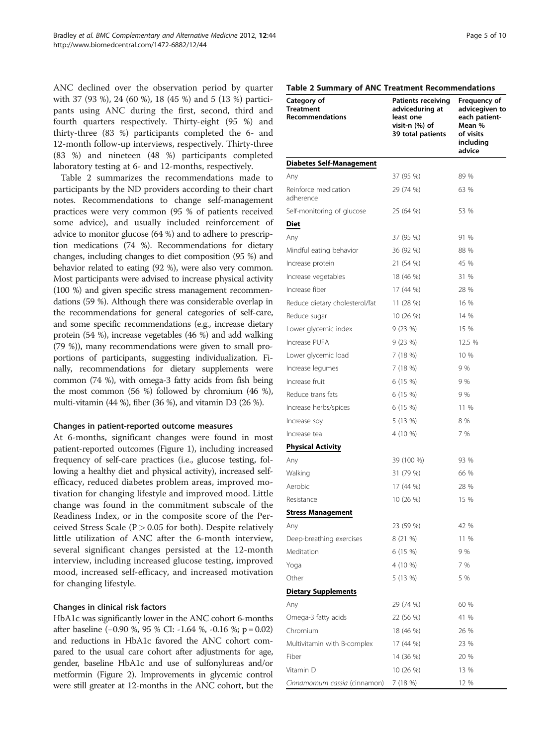ANC declined over the observation period by quarter with 37 (93 %), 24 (60 %), 18 (45 %) and 5 (13 %) participants using ANC during the first, second, third and fourth quarters respectively. Thirty-eight (95 %) and thirty-three (83 %) participants completed the 6- and 12-month follow-up interviews, respectively. Thirty-three (83 %) and nineteen (48 %) participants completed laboratory testing at 6- and 12-months, respectively.

Table 2 summarizes the recommendations made to participants by the ND providers according to their chart notes. Recommendations to change self-management practices were very common (95 % of patients received some advice), and usually included reinforcement of advice to monitor glucose (64 %) and to adhere to prescription medications (74 %). Recommendations for dietary changes, including changes to diet composition (95 %) and behavior related to eating (92 %), were also very common. Most participants were advised to increase physical activity (100 %) and given specific stress management recommendations (59 %). Although there was considerable overlap in the recommendations for general categories of self-care, and some specific recommendations (e.g., increase dietary protein (54 %), increase vegetables (46 %) and add walking (79 %)), many recommendations were given to small proportions of participants, suggesting individualization. Finally, recommendations for dietary supplements were common (74 %), with omega-3 fatty acids from fish being the most common (56 %) followed by chromium (46 %), multi-vitamin (44 %), fiber (36 %), and vitamin D3 (26 %).

#### Changes in patient-reported outcome measures

At 6-months, significant changes were found in most patient-reported outcomes (Figure [1\)](#page-5-0), including increased frequency of self-care practices (i.e., glucose testing, following a healthy diet and physical activity), increased selfefficacy, reduced diabetes problem areas, improved motivation for changing lifestyle and improved mood. Little change was found in the commitment subscale of the Readiness Index, or in the composite score of the Perceived Stress Scale ( $P > 0.05$  for both). Despite relatively little utilization of ANC after the 6-month interview, several significant changes persisted at the 12-month interview, including increased glucose testing, improved mood, increased self-efficacy, and increased motivation for changing lifestyle.

#### Changes in clinical risk factors

HbA1c was significantly lower in the ANC cohort 6-months after baseline (−0.90 %, 95 % CI: -1.64 %, -0.16 %; p = 0.02) and reductions in HbA1c favored the ANC cohort compared to the usual care cohort after adjustments for age, gender, baseline HbA1c and use of sulfonylureas and/or metformin (Figure [2\)](#page-6-0). Improvements in glycemic control were still greater at 12-months in the ANC cohort, but the

#### Table 2 Summary of ANC Treatment Recommendations

| Category of<br>Treatment<br>Recommendations | <b>Patients receiving</b><br>adviceduring at<br>least one<br>visit-n (%) of<br>39 total patients | <b>Frequency of</b><br>advicegiven to<br>each patient-<br>Mean %<br>of visits<br>including<br>advice |
|---------------------------------------------|--------------------------------------------------------------------------------------------------|------------------------------------------------------------------------------------------------------|
| <b>Diabetes Self-Management</b>             |                                                                                                  |                                                                                                      |
| Any                                         | 37 (95 %)                                                                                        | 89 %                                                                                                 |
| Reinforce medication<br>adherence           | 29 (74 %)                                                                                        | 63 %                                                                                                 |
| Self-monitoring of glucose                  | 25 (64 %)                                                                                        | 53 %                                                                                                 |
| Diet                                        |                                                                                                  |                                                                                                      |
| Any                                         | 37 (95 %)                                                                                        | 91 %                                                                                                 |
| Mindful eating behavior                     | 36 (92 %)                                                                                        | 88 %                                                                                                 |
| Increase protein                            | 21 (54 %)                                                                                        | 45 %                                                                                                 |
| Increase vegetables                         | 18 (46 %)                                                                                        | 31 %                                                                                                 |
| Increase fiber                              | 17 (44 %)                                                                                        | 28 %                                                                                                 |
| Reduce dietary cholesterol/fat              | 11 $(28%)$                                                                                       | 16 %                                                                                                 |
| Reduce sugar                                | 10(26%)                                                                                          | 14 %                                                                                                 |
| Lower glycemic index                        | 9 (23 %)                                                                                         | 15 %                                                                                                 |
| Increase PUFA                               | 9(23%)                                                                                           | 12.5 %                                                                                               |
| Lower glycemic load                         | 7 (18 %)                                                                                         | 10 %                                                                                                 |
| Increase legumes                            | 7 (18 %)                                                                                         | 9 %                                                                                                  |
| Increase fruit                              | 6 (15 %)                                                                                         | 9 %                                                                                                  |
| Reduce trans fats                           | 6 (15 %)                                                                                         | 9 %                                                                                                  |
| Increase herbs/spices                       | 6 (15 %)                                                                                         | 11 %                                                                                                 |
| Increase soy                                | 5 (13 %)                                                                                         | 8 %                                                                                                  |
| Increase tea                                | 4 (10 %)                                                                                         | 7 %                                                                                                  |
| <b>Physical Activity</b>                    |                                                                                                  |                                                                                                      |
| Any                                         | 39 (100 %)                                                                                       | 93 %                                                                                                 |
| Walking                                     | 31 (79 %)                                                                                        | 66 %                                                                                                 |
| Aerobic                                     | 17 (44 %)                                                                                        | 28 %                                                                                                 |
| Resistance                                  | 10 (26 %)                                                                                        | 15 %                                                                                                 |
| <b>Stress Management</b>                    |                                                                                                  |                                                                                                      |
| Any                                         | 23 (59 %)                                                                                        | 42 %                                                                                                 |
| Deep-breathing exercises                    | 8 (21 %)                                                                                         | 11 %                                                                                                 |
| Meditation                                  | 6 (15 %)                                                                                         | 9 %                                                                                                  |
| Yoga                                        | 4 (10 %)                                                                                         | 7 %                                                                                                  |
| Other                                       | 5 (13 %)                                                                                         | 5 %                                                                                                  |
| <b>Dietary Supplements</b>                  |                                                                                                  |                                                                                                      |
| Any                                         | 29 (74 %)                                                                                        | 60 %                                                                                                 |
| Omega-3 fatty acids                         | 22 (56 %)                                                                                        | 41 %                                                                                                 |
| Chromium                                    | 18 (46 %)                                                                                        | 26 %                                                                                                 |
| Multivitamin with B-complex                 | 17 (44 %)                                                                                        | 23 %                                                                                                 |
| Fiber                                       | 14 (36 %)                                                                                        | 20 %                                                                                                 |
| Vitamin D                                   | 10 (26 %)                                                                                        | 13 %                                                                                                 |
| Cinnamomum cassia (cinnamon)                | 7 (18 %)                                                                                         | 12 %                                                                                                 |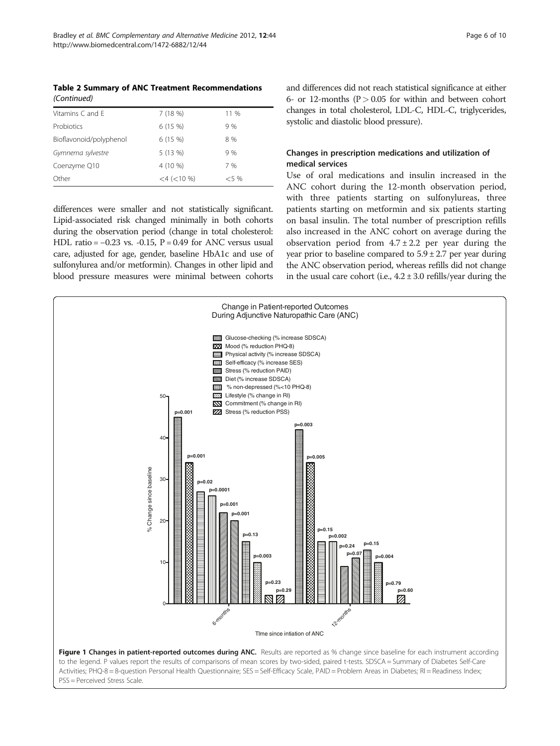<span id="page-5-0"></span>Table 2 Summary of ANC Treatment Recommendations (Continued)

| Vitamins C and E        | 7(18%)            | 11 %    |
|-------------------------|-------------------|---------|
| Probiotics              | 6(15%)            | 9%      |
| Bioflavonoid/polyphenol | 6(15%)            | 8 %     |
| Gymnema sylvestre       | 5 (13 %)          | 9%      |
| Coenzyme Q10            | 4 (10 %)          | 7 %     |
| Other                   | $<$ 4 ( $<$ 10 %) | $< 5\%$ |

differences were smaller and not statistically significant. Lipid-associated risk changed minimally in both cohorts during the observation period (change in total cholesterol: HDL ratio =  $-0.23$  vs.  $-0.15$ , P = 0.49 for ANC versus usual care, adjusted for age, gender, baseline HbA1c and use of sulfonylurea and/or metformin). Changes in other lipid and blood pressure measures were minimal between cohorts

and differences did not reach statistical significance at either 6- or 12-months ( $P > 0.05$  for within and between cohort changes in total cholesterol, LDL-C, HDL-C, triglycerides, systolic and diastolic blood pressure).

# Changes in prescription medications and utilization of medical services

Use of oral medications and insulin increased in the ANC cohort during the 12-month observation period, with three patients starting on sulfonylureas, three patients starting on metformin and six patients starting on basal insulin. The total number of prescription refills also increased in the ANC cohort on average during the observation period from  $4.7 \pm 2.2$  per year during the year prior to baseline compared to 5.9 ± 2.7 per year during the ANC observation period, whereas refills did not change in the usual care cohort (i.e.,  $4.2 \pm 3.0$  refills/year during the

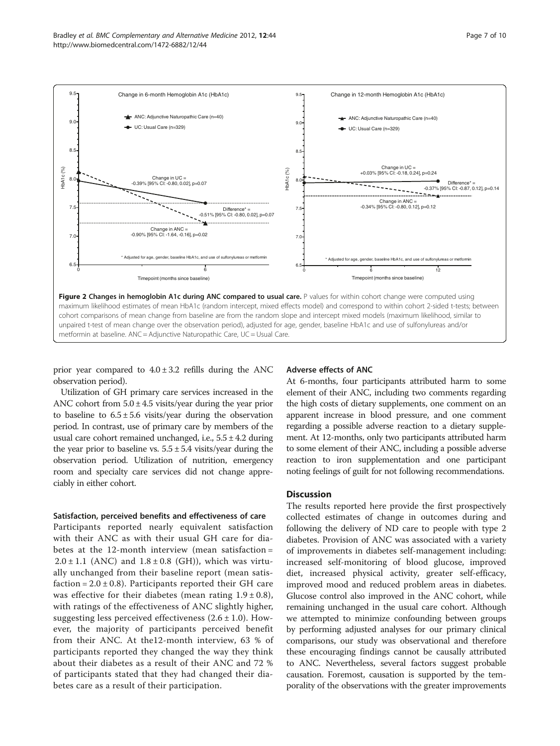<span id="page-6-0"></span>

maximum likelihood estimates of mean HbA1c (random intercept, mixed effects model) and correspond to within cohort 2-sided t-tests; between cohort comparisons of mean change from baseline are from the random slope and intercept mixed models (maximum likelihood, similar to unpaired t-test of mean change over the observation period), adjusted for age, gender, baseline HbA1c and use of sulfonylureas and/or metformin at baseline. ANC = Adjunctive Naturopathic Care, UC = Usual Care.

prior year compared to  $4.0 \pm 3.2$  refills during the ANC observation period).

Utilization of GH primary care services increased in the ANC cohort from  $5.0 \pm 4.5$  visits/year during the year prior to baseline to  $6.5 \pm 5.6$  visits/year during the observation period. In contrast, use of primary care by members of the usual care cohort remained unchanged, i.e.,  $5.5 \pm 4.2$  during the year prior to baseline vs.  $5.5 \pm 5.4$  visits/year during the observation period. Utilization of nutrition, emergency room and specialty care services did not change appreciably in either cohort.

#### Satisfaction, perceived benefits and effectiveness of care

Participants reported nearly equivalent satisfaction with their ANC as with their usual GH care for diabetes at the 12-month interview (mean satisfaction =  $2.0 \pm 1.1$  (ANC) and  $1.8 \pm 0.8$  (GH)), which was virtually unchanged from their baseline report (mean satisfaction =  $2.0 \pm 0.8$ ). Participants reported their GH care was effective for their diabetes (mean rating  $1.9 \pm 0.8$ ), with ratings of the effectiveness of ANC slightly higher, suggesting less perceived effectiveness  $(2.6 \pm 1.0)$ . However, the majority of participants perceived benefit from their ANC. At the12-month interview, 63 % of participants reported they changed the way they think about their diabetes as a result of their ANC and 72 % of participants stated that they had changed their diabetes care as a result of their participation.

# Adverse effects of ANC

At 6-months, four participants attributed harm to some element of their ANC, including two comments regarding the high costs of dietary supplements, one comment on an apparent increase in blood pressure, and one comment regarding a possible adverse reaction to a dietary supplement. At 12-months, only two participants attributed harm to some element of their ANC, including a possible adverse reaction to iron supplementation and one participant noting feelings of guilt for not following recommendations.

#### Discussion

The results reported here provide the first prospectively collected estimates of change in outcomes during and following the delivery of ND care to people with type 2 diabetes. Provision of ANC was associated with a variety of improvements in diabetes self-management including: increased self-monitoring of blood glucose, improved diet, increased physical activity, greater self-efficacy, improved mood and reduced problem areas in diabetes. Glucose control also improved in the ANC cohort, while remaining unchanged in the usual care cohort. Although we attempted to minimize confounding between groups by performing adjusted analyses for our primary clinical comparisons, our study was observational and therefore these encouraging findings cannot be causally attributed to ANC. Nevertheless, several factors suggest probable causation. Foremost, causation is supported by the temporality of the observations with the greater improvements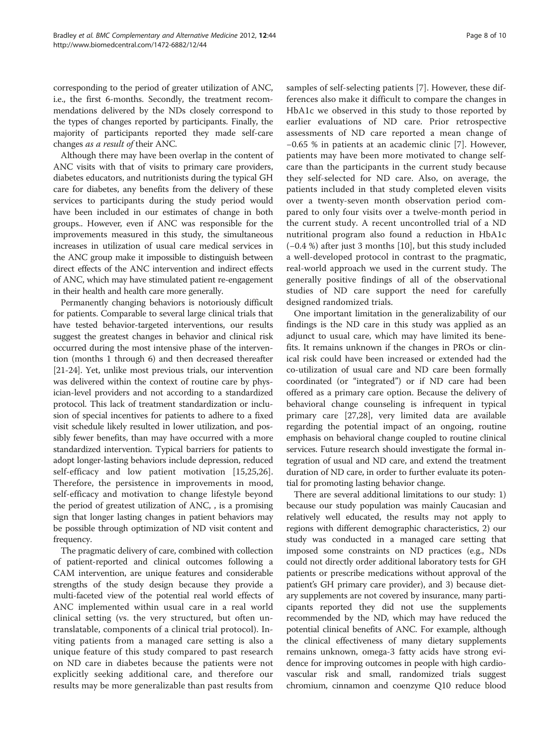corresponding to the period of greater utilization of ANC, i.e., the first 6-months. Secondly, the treatment recommendations delivered by the NDs closely correspond to the types of changes reported by participants. Finally, the majority of participants reported they made self-care changes as a result of their ANC.

Although there may have been overlap in the content of ANC visits with that of visits to primary care providers, diabetes educators, and nutritionists during the typical GH care for diabetes, any benefits from the delivery of these services to participants during the study period would have been included in our estimates of change in both groups.. However, even if ANC was responsible for the improvements measured in this study, the simultaneous increases in utilization of usual care medical services in the ANC group make it impossible to distinguish between direct effects of the ANC intervention and indirect effects of ANC, which may have stimulated patient re-engagement in their health and health care more generally.

Permanently changing behaviors is notoriously difficult for patients. Comparable to several large clinical trials that have tested behavior-targeted interventions, our results suggest the greatest changes in behavior and clinical risk occurred during the most intensive phase of the intervention (months 1 through 6) and then decreased thereafter [[21](#page-9-0)-[24](#page-9-0)]. Yet, unlike most previous trials, our intervention was delivered within the context of routine care by physician-level providers and not according to a standardized protocol. This lack of treatment standardization or inclusion of special incentives for patients to adhere to a fixed visit schedule likely resulted in lower utilization, and possibly fewer benefits, than may have occurred with a more standardized intervention. Typical barriers for patients to adopt longer-lasting behaviors include depression, reduced self-efficacy and low patient motivation [[15,](#page-8-0)[25,26](#page-9-0)]. Therefore, the persistence in improvements in mood, self-efficacy and motivation to change lifestyle beyond the period of greatest utilization of ANC, , is a promising sign that longer lasting changes in patient behaviors may be possible through optimization of ND visit content and frequency.

The pragmatic delivery of care, combined with collection of patient-reported and clinical outcomes following a CAM intervention, are unique features and considerable strengths of the study design because they provide a multi-faceted view of the potential real world effects of ANC implemented within usual care in a real world clinical setting (vs. the very structured, but often untranslatable, components of a clinical trial protocol). Inviting patients from a managed care setting is also a unique feature of this study compared to past research on ND care in diabetes because the patients were not explicitly seeking additional care, and therefore our results may be more generalizable than past results from

samples of self-selecting patients [[7\]](#page-8-0). However, these differences also make it difficult to compare the changes in HbA1c we observed in this study to those reported by earlier evaluations of ND care. Prior retrospective assessments of ND care reported a mean change of −0.65 % in patients at an academic clinic [[7](#page-8-0)]. However, patients may have been more motivated to change selfcare than the participants in the current study because they self-selected for ND care. Also, on average, the patients included in that study completed eleven visits over a twenty-seven month observation period compared to only four visits over a twelve-month period in the current study. A recent uncontrolled trial of a ND nutritional program also found a reduction in HbA1c (−0.4 %) after just 3 months [[10\]](#page-8-0), but this study included a well-developed protocol in contrast to the pragmatic, real-world approach we used in the current study. The generally positive findings of all of the observational studies of ND care support the need for carefully designed randomized trials.

One important limitation in the generalizability of our findings is the ND care in this study was applied as an adjunct to usual care, which may have limited its benefits. It remains unknown if the changes in PROs or clinical risk could have been increased or extended had the co-utilization of usual care and ND care been formally coordinated (or "integrated") or if ND care had been offered as a primary care option. Because the delivery of behavioral change counseling is infrequent in typical primary care [[27](#page-9-0),[28](#page-9-0)], very limited data are available regarding the potential impact of an ongoing, routine emphasis on behavioral change coupled to routine clinical services. Future research should investigate the formal integration of usual and ND care, and extend the treatment duration of ND care, in order to further evaluate its potential for promoting lasting behavior change.

There are several additional limitations to our study: 1) because our study population was mainly Caucasian and relatively well educated, the results may not apply to regions with different demographic characteristics, 2) our study was conducted in a managed care setting that imposed some constraints on ND practices (e.g., NDs could not directly order additional laboratory tests for GH patients or prescribe medications without approval of the patient's GH primary care provider), and 3) because dietary supplements are not covered by insurance, many participants reported they did not use the supplements recommended by the ND, which may have reduced the potential clinical benefits of ANC. For example, although the clinical effectiveness of many dietary supplements remains unknown, omega-3 fatty acids have strong evidence for improving outcomes in people with high cardiovascular risk and small, randomized trials suggest chromium, cinnamon and coenzyme Q10 reduce blood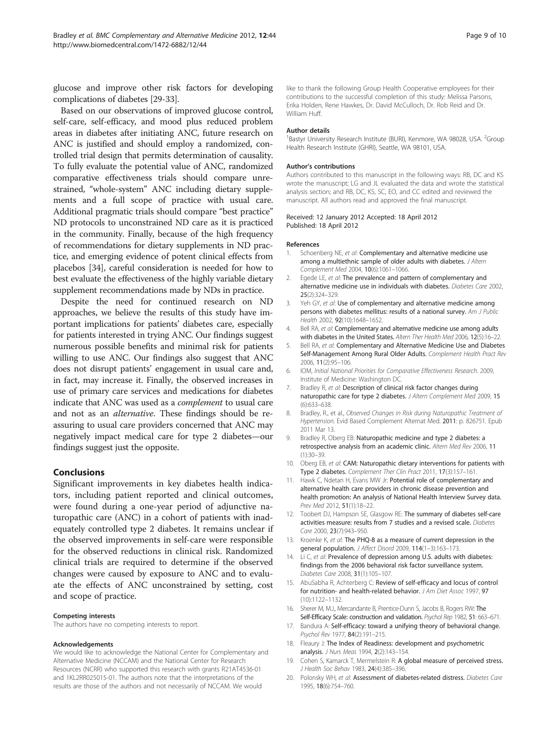<span id="page-8-0"></span>glucose and improve other risk factors for developing complications of diabetes [\[29-33\]](#page-9-0).

Based on our observations of improved glucose control, self-care, self-efficacy, and mood plus reduced problem areas in diabetes after initiating ANC, future research on ANC is justified and should employ a randomized, controlled trial design that permits determination of causality. To fully evaluate the potential value of ANC, randomized comparative effectiveness trials should compare unrestrained, "whole-system" ANC including dietary supplements and a full scope of practice with usual care. Additional pragmatic trials should compare "best practice" ND protocols to unconstrained ND care as it is practiced in the community. Finally, because of the high frequency of recommendations for dietary supplements in ND practice, and emerging evidence of potent clinical effects from placebos [[34](#page-9-0)], careful consideration is needed for how to best evaluate the effectiveness of the highly variable dietary supplement recommendations made by NDs in practice.

Despite the need for continued research on ND approaches, we believe the results of this study have important implications for patients' diabetes care, especially for patients interested in trying ANC. Our findings suggest numerous possible benefits and minimal risk for patients willing to use ANC. Our findings also suggest that ANC does not disrupt patients' engagement in usual care and, in fact, may increase it. Finally, the observed increases in use of primary care services and medications for diabetes indicate that ANC was used as a complement to usual care and not as an alternative. These findings should be reassuring to usual care providers concerned that ANC may negatively impact medical care for type 2 diabetes—our findings suggest just the opposite.

#### Conclusions

Significant improvements in key diabetes health indicators, including patient reported and clinical outcomes, were found during a one-year period of adjunctive naturopathic care (ANC) in a cohort of patients with inadequately controlled type 2 diabetes. It remains unclear if the observed improvements in self-care were responsible for the observed reductions in clinical risk. Randomized clinical trials are required to determine if the observed changes were caused by exposure to ANC and to evaluate the effects of ANC unconstrained by setting, cost and scope of practice.

#### Competing interests

The authors have no competing interests to report.

#### Acknowledgements

We would like to acknowledge the National Center for Complementary and Alternative Medicine (NCCAM) and the National Center for Research Resources (NCRR) who supported this research with grants R21AT4536-01 and 1KL2RR025015-01. The authors note that the interpretations of the results are those of the authors and not necessarily of NCCAM. We would

like to thank the following Group Health Cooperative employees for their contributions to the successful completion of this study: Melissa Parsons, Erika Holden, Rene Hawkes, Dr. David McCulloch, Dr. Rob Reid and Dr. William Huff.

#### Author details

<sup>1</sup>Bastyr University Research Institute (BURI), Kenmore, WA 98028, USA. <sup>2</sup>Group Health Research Institute (GHRI), Seattle, WA 98101, USA.

#### Author's contributions

Authors contributed to this manuscript in the following ways: RB, DC and KS wrote the manuscript; LG and JL evaluated the data and wrote the statistical analysis section; and RB, DC, KS, SC, EO, and CC edited and reviewed the manuscript. All authors read and approved the final manuscript.

#### Received: 12 January 2012 Accepted: 18 April 2012 Published: 18 April 2012

#### References

- Schoenberg NE, et al: Complementary and alternative medicine use among a multiethnic sample of older adults with diabetes. J Altern Complement Med 2004, 10(6):1061–1066.
- 2. Egede LE, et al: The prevalence and pattern of complementary and alternative medicine use in individuals with diabetes. Diabetes Care 2002, 25(2):324–329.
- 3. Yeh GY, et al: Use of complementary and alternative medicine among persons with diabetes mellitus: results of a national survey. Am J Public Health 2002, 92(10):1648–1652.
- 4. Bell RA, et al: Complementary and alternative medicine use among adults with diabetes in the United States. Altern Ther Health Med 2006, 12(5):16–22.
- 5. Bell RA, et al: Complementary and Alternative Medicine Use and Diabetes Self-Management Among Rural Older Adults. Complement Health Pract Rev 2006, 11(2):95–106.
- 6. IOM, Initial National Priorities for Comparative Effectiveness Research. 2009, Institute of Medicine: Washington DC.
- 7. Bradley R, et al: Description of clinical risk factor changes during naturopathic care for type 2 diabetes. J Altern Complement Med 2009, 15 (6):633–638.
- 8. Bradley, R., et al., Observed Changes in Risk during Naturopathic Treatment of Hypertension. Evid Based Complement Alternat Med. 2011: p. 826751. Epub 2011 Mar 13.
- 9. Bradley R, Oberg EB: Naturopathic medicine and type 2 diabetes: a retrospective analysis from an academic clinic. Altern Med Rev 2006, 11 (1):30–39.
- 10. Oberg EB, et al: CAM: Naturopathic dietary interventions for patients with Type 2 diabetes. Complement Ther Clin Pract 2011, 17(3):157-161.
- 11. Hawk C, Ndetan H, Evans MW Jr: Potential role of complementary and alternative health care providers in chronic disease prevention and health promotion: An analysis of National Health Interview Survey data. Prev Med 2012, 51(1):18–22.
- 12. Toobert DJ, Hampson SE, Glasgow RE: The summary of diabetes self-care activities measure: results from 7 studies and a revised scale. Diabetes Care 2000, 23(7):943-950.
- 13. Kroenke K, et al: The PHO-8 as a measure of current depression in the general population. J Affect Disord 2009, 114(1–3):163–173.
- 14. Li C, et al: Prevalence of depression among U.S. adults with diabetes: findings from the 2006 behavioral risk factor surveillance system. Diabetes Care 2008, 31(1):105–107.
- 15. AbuSabha R, Achterberg C: Review of self-efficacy and locus of control for nutrition- and health-related behavior. J Am Diet Assoc 1997, 97 (10):1122–1132.
- 16. Sherer M, M.J., Mercandante B, Prentice-Dunn S, Jacobs B, Rogers RW: The Self-Efficacy Scale: construction and validation. Psychol Rep 1982, 51: 663-671.
- 17. Bandura A: Self-efficacy: toward a unifying theory of behavioral change. Psychol Rev 1977, 84(2):191–215.
- 18. Fleaury J: The Index of Readiness: development and psychometric analysis. J Nurs Meas 1994, 2(2):143–154.
- 19. Cohen S, Kamarck T, Mermelstein R: A global measure of perceived stress. J Health Soc Behav 1983, 24(4):385–396.
- 20. Polonsky WH, et al: Assessment of diabetes-related distress. Diabetes Care 1995, 18(6):754–760.